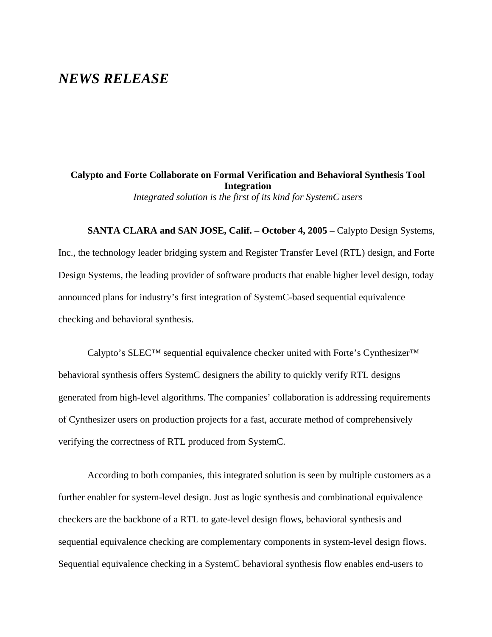# *NEWS RELEASE*

**Calypto and Forte Collaborate on Formal Verification and Behavioral Synthesis Tool Integration**  *Integrated solution is the first of its kind for SystemC users*

**SANTA CLARA and SAN JOSE, Calif. – October 4, 2005 –** Calypto Design Systems, Inc., the technology leader bridging system and Register Transfer Level (RTL) design, and Forte Design Systems, the leading provider of software products that enable higher level design, today announced plans for industry's first integration of SystemC-based sequential equivalence checking and behavioral synthesis.

Calypto's SLEC™ sequential equivalence checker united with Forte's Cynthesizer™ behavioral synthesis offers SystemC designers the ability to quickly verify RTL designs generated from high-level algorithms. The companies' collaboration is addressing requirements of Cynthesizer users on production projects for a fast, accurate method of comprehensively verifying the correctness of RTL produced from SystemC.

According to both companies, this integrated solution is seen by multiple customers as a further enabler for system-level design. Just as logic synthesis and combinational equivalence checkers are the backbone of a RTL to gate-level design flows, behavioral synthesis and sequential equivalence checking are complementary components in system-level design flows. Sequential equivalence checking in a SystemC behavioral synthesis flow enables end-users to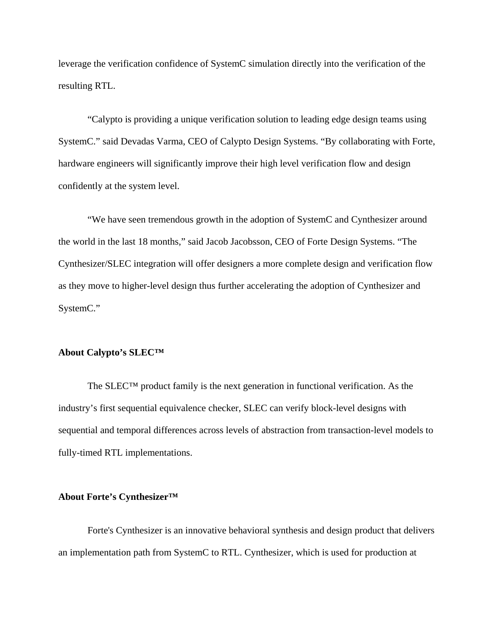leverage the verification confidence of SystemC simulation directly into the verification of the resulting RTL.

"Calypto is providing a unique verification solution to leading edge design teams using SystemC." said Devadas Varma, CEO of Calypto Design Systems. "By collaborating with Forte, hardware engineers will significantly improve their high level verification flow and design confidently at the system level.

"We have seen tremendous growth in the adoption of SystemC and Cynthesizer around the world in the last 18 months," said Jacob Jacobsson, CEO of Forte Design Systems. "The Cynthesizer/SLEC integration will offer designers a more complete design and verification flow as they move to higher-level design thus further accelerating the adoption of Cynthesizer and SystemC."

#### **About Calypto's SLEC™**

The SLEC<sup>TM</sup> product family is the next generation in functional verification. As the industry's first sequential equivalence checker, SLEC can verify block-level designs with sequential and temporal differences across levels of abstraction from transaction-level models to fully-timed RTL implementations.

## **About Forte's Cynthesizer™**

Forte's Cynthesizer is an innovative behavioral synthesis and design product that delivers an implementation path from SystemC to RTL. Cynthesizer, which is used for production at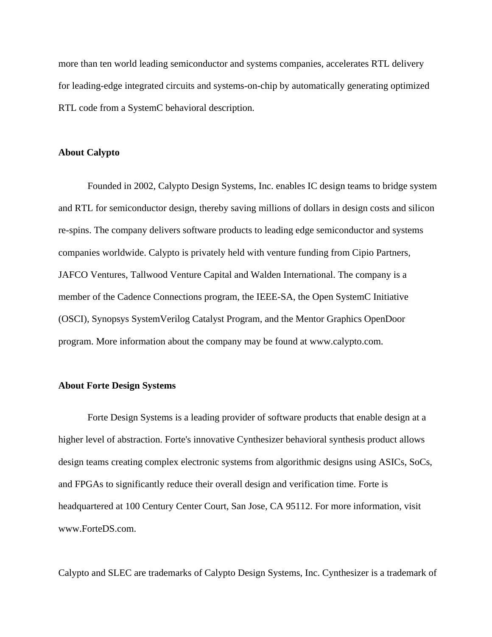more than ten world leading semiconductor and systems companies, accelerates RTL delivery for leading-edge integrated circuits and systems-on-chip by automatically generating optimized RTL code from a SystemC behavioral description.

### **About Calypto**

Founded in 2002, Calypto Design Systems, Inc. enables IC design teams to bridge system and RTL for semiconductor design, thereby saving millions of dollars in design costs and silicon re-spins. The company delivers software products to leading edge semiconductor and systems companies worldwide. Calypto is privately held with venture funding from Cipio Partners, JAFCO Ventures, Tallwood Venture Capital and Walden International. The company is a member of the Cadence Connections program, the IEEE-SA, the Open SystemC Initiative (OSCI), Synopsys SystemVerilog Catalyst Program, and the Mentor Graphics OpenDoor program. More information about the company may be found at www.calypto.com.

#### **About Forte Design Systems**

Forte Design Systems is a leading provider of software products that enable design at a higher level of abstraction. Forte's innovative Cynthesizer behavioral synthesis product allows design teams creating complex electronic systems from algorithmic designs using ASICs, SoCs, and FPGAs to significantly reduce their overall design and verification time. Forte is headquartered at 100 Century Center Court, San Jose, CA 95112. For more information, visit [www.ForteDS.com.](http://www.forteds.com/)

Calypto and SLEC are trademarks of Calypto Design Systems, Inc. Cynthesizer is a trademark of